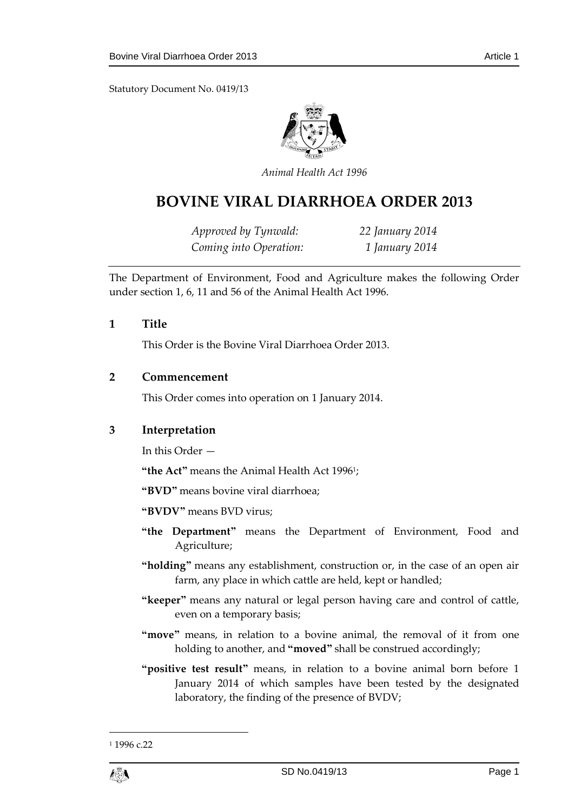Statutory Document No. 0419/13



*Animal Health Act 1996*

# **BOVINE VIRAL DIARRHOEA ORDER 2013**

*Approved by Tynwald: 22 January 2014 Coming into Operation: 1 January 2014*

The Department of Environment, Food and Agriculture makes the following Order under section 1, 6, 11 and 56 of the Animal Health Act 1996.

#### **1 Title**

This Order is the Bovine Viral Diarrhoea Order 2013.

#### **2 Commencement**

This Order comes into operation on 1 January 2014.

## **3 Interpretation**

In this Order —

**"the Act"** means the Animal Health Act 1996<sup>1</sup> ;

**"BVD"** means bovine viral diarrhoea;

**"BVDV"** means BVD virus;

- **"the Department"** means the Department of Environment, Food and Agriculture;
- **"holding"** means any establishment, construction or, in the case of an open air farm, any place in which cattle are held, kept or handled;
- **"keeper"** means any natural or legal person having care and control of cattle, even on a temporary basis;
- **"move"** means, in relation to a bovine animal, the removal of it from one holding to another, and **"moved"** shall be construed accordingly;
- **"positive test result"** means, in relation to a bovine animal born before 1 January 2014 of which samples have been tested by the designated laboratory, the finding of the presence of BVDV;

1

<sup>&</sup>lt;sup>1</sup> 1996 c.22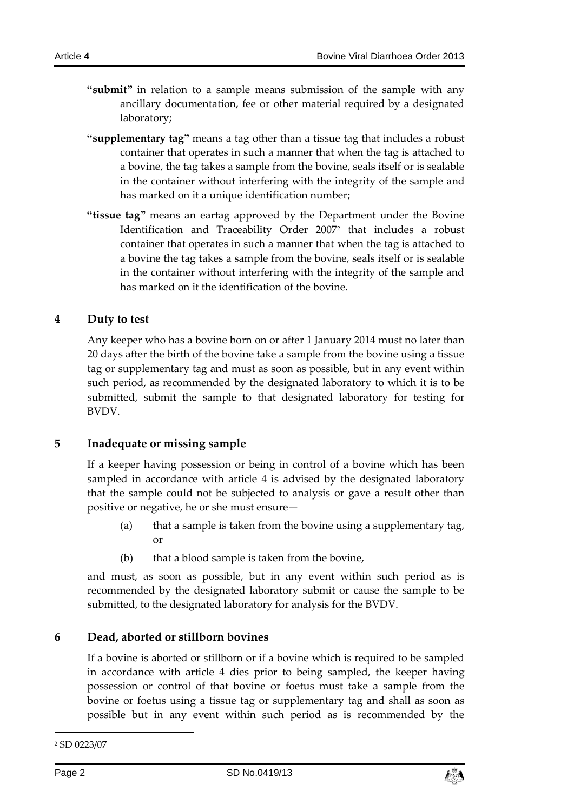- **"submit"** in relation to a sample means submission of the sample with any ancillary documentation, fee or other material required by a designated laboratory;
- **"supplementary tag"** means a tag other than a tissue tag that includes a robust container that operates in such a manner that when the tag is attached to a bovine, the tag takes a sample from the bovine, seals itself or is sealable in the container without interfering with the integrity of the sample and has marked on it a unique identification number;
- **"tissue tag"** means an eartag approved by the Department under the Bovine Identification and Traceability Order 2007<sup>2</sup> that includes a robust container that operates in such a manner that when the tag is attached to a bovine the tag takes a sample from the bovine, seals itself or is sealable in the container without interfering with the integrity of the sample and has marked on it the identification of the bovine.

#### **4 Duty to test**

Any keeper who has a bovine born on or after 1 January 2014 must no later than 20 days after the birth of the bovine take a sample from the bovine using a tissue tag or supplementary tag and must as soon as possible, but in any event within such period, as recommended by the designated laboratory to which it is to be submitted, submit the sample to that designated laboratory for testing for BVDV.

#### **5 Inadequate or missing sample**

If a keeper having possession or being in control of a bovine which has been sampled in accordance with article 4 is advised by the designated laboratory that the sample could not be subjected to analysis or gave a result other than positive or negative, he or she must ensure—

- (a) that a sample is taken from the bovine using a supplementary tag, or
- (b) that a blood sample is taken from the bovine,

and must, as soon as possible, but in any event within such period as is recommended by the designated laboratory submit or cause the sample to be submitted, to the designated laboratory for analysis for the BVDV.

## **6 Dead, aborted or stillborn bovines**

If a bovine is aborted or stillborn or if a bovine which is required to be sampled in accordance with article 4 dies prior to being sampled, the keeper having possession or control of that bovine or foetus must take a sample from the bovine or foetus using a tissue tag or supplementary tag and shall as soon as possible but in any event within such period as is recommended by the

-



<sup>2</sup> SD 0223/07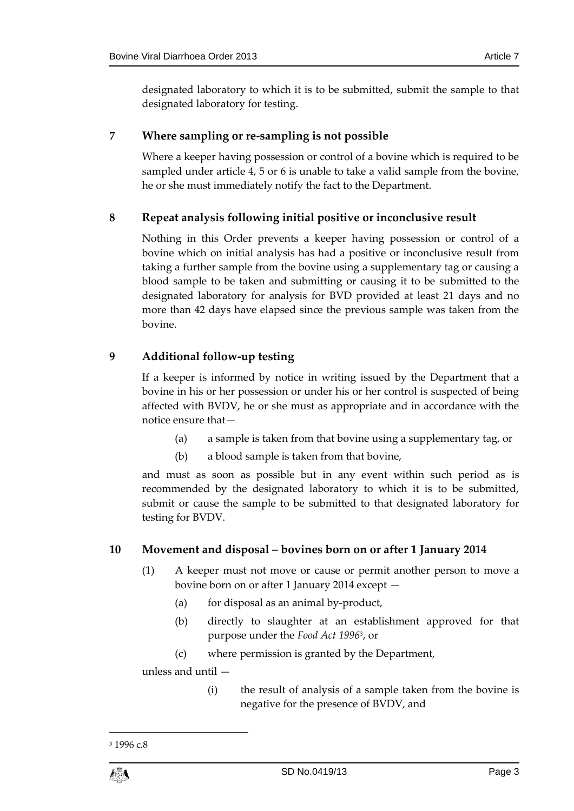designated laboratory to which it is to be submitted, submit the sample to that designated laboratory for testing.

## **7 Where sampling or re-sampling is not possible**

Where a keeper having possession or control of a bovine which is required to be sampled under article 4, 5 or 6 is unable to take a valid sample from the bovine, he or she must immediately notify the fact to the Department.

# **8 Repeat analysis following initial positive or inconclusive result**

Nothing in this Order prevents a keeper having possession or control of a bovine which on initial analysis has had a positive or inconclusive result from taking a further sample from the bovine using a supplementary tag or causing a blood sample to be taken and submitting or causing it to be submitted to the designated laboratory for analysis for BVD provided at least 21 days and no more than 42 days have elapsed since the previous sample was taken from the bovine.

# **9 Additional follow-up testing**

If a keeper is informed by notice in writing issued by the Department that a bovine in his or her possession or under his or her control is suspected of being affected with BVDV, he or she must as appropriate and in accordance with the notice ensure that—

- (a) a sample is taken from that bovine using a supplementary tag, or
- (b) a blood sample is taken from that bovine,

and must as soon as possible but in any event within such period as is recommended by the designated laboratory to which it is to be submitted, submit or cause the sample to be submitted to that designated laboratory for testing for BVDV.

## **10 Movement and disposal – bovines born on or after 1 January 2014**

- (1) A keeper must not move or cause or permit another person to move a bovine born on or after 1 January 2014 except —
	- (a) for disposal as an animal by-product,
	- (b) directly to slaughter at an establishment approved for that purpose under the *Food Act 1996<sup>3</sup>* , or
	- (c) where permission is granted by the Department,

unless and until —

(i) the result of analysis of a sample taken from the bovine is negative for the presence of BVDV, and

<sup>3</sup> 1996 c.8



1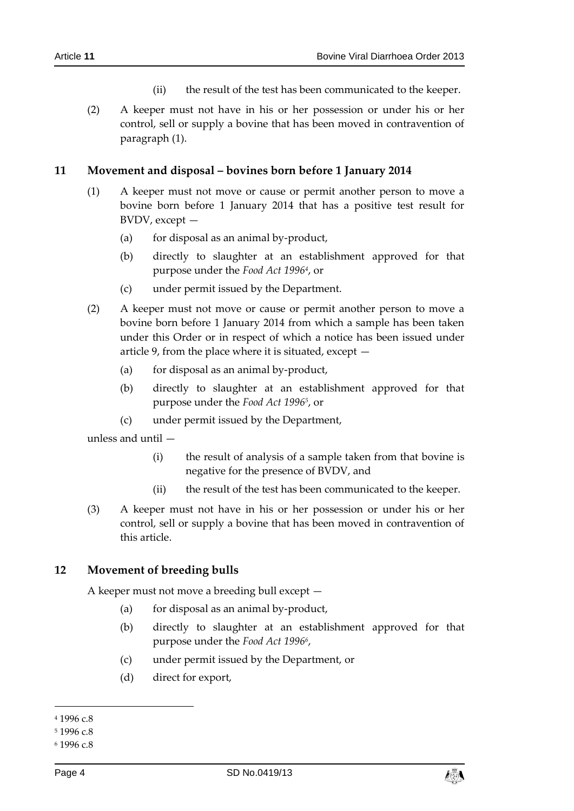- (ii) the result of the test has been communicated to the keeper.
- (2) A keeper must not have in his or her possession or under his or her control, sell or supply a bovine that has been moved in contravention of paragraph (1).

#### **11 Movement and disposal – bovines born before 1 January 2014**

- (1) A keeper must not move or cause or permit another person to move a bovine born before 1 January 2014 that has a positive test result for BVDV, except —
	- (a) for disposal as an animal by-product,
	- (b) directly to slaughter at an establishment approved for that purpose under the *Food Act 1996<sup>4</sup>* , or
	- (c) under permit issued by the Department.
- (2) A keeper must not move or cause or permit another person to move a bovine born before 1 January 2014 from which a sample has been taken under this Order or in respect of which a notice has been issued under article 9, from the place where it is situated, except —
	- (a) for disposal as an animal by-product,
	- (b) directly to slaughter at an establishment approved for that purpose under the *Food Act 1996<sup>5</sup>* , or
	- (c) under permit issued by the Department,

unless and until —

- (i) the result of analysis of a sample taken from that bovine is negative for the presence of BVDV, and
- (ii) the result of the test has been communicated to the keeper.
- (3) A keeper must not have in his or her possession or under his or her control, sell or supply a bovine that has been moved in contravention of this article.

#### **12 Movement of breeding bulls**

A keeper must not move a breeding bull except —

- (a) for disposal as an animal by-product,
- (b) directly to slaughter at an establishment approved for that purpose under the *Food Act 1996<sup>6</sup>* ,
- (c) under permit issued by the Department, or
- (d) direct for export,

-



<sup>4</sup> 1996 c.8

<sup>5</sup> 1996 c.8

<sup>6</sup> 1996 c.8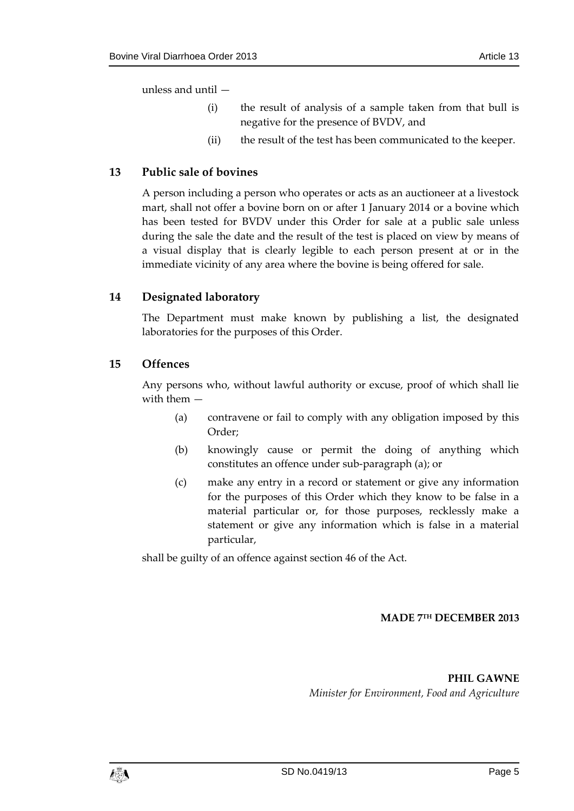- (i) the result of analysis of a sample taken from that bull is negative for the presence of BVDV, and
- (ii) the result of the test has been communicated to the keeper.

# **13 Public sale of bovines**

A person including a person who operates or acts as an auctioneer at a livestock mart, shall not offer a bovine born on or after 1 January 2014 or a bovine which has been tested for BVDV under this Order for sale at a public sale unless during the sale the date and the result of the test is placed on view by means of a visual display that is clearly legible to each person present at or in the immediate vicinity of any area where the bovine is being offered for sale.

# **14 Designated laboratory**

The Department must make known by publishing a list, the designated laboratories for the purposes of this Order.

## **15 Offences**

Any persons who, without lawful authority or excuse, proof of which shall lie with them —

- (a) contravene or fail to comply with any obligation imposed by this Order;
- (b) knowingly cause or permit the doing of anything which constitutes an offence under sub-paragraph (a); or
- (c) make any entry in a record or statement or give any information for the purposes of this Order which they know to be false in a material particular or, for those purposes, recklessly make a statement or give any information which is false in a material particular,

shall be guilty of an offence against section 46 of the Act.

## **MADE 7 TH DECEMBER 2013**

**PHIL GAWNE**

*Minister for Environment, Food and Agriculture*